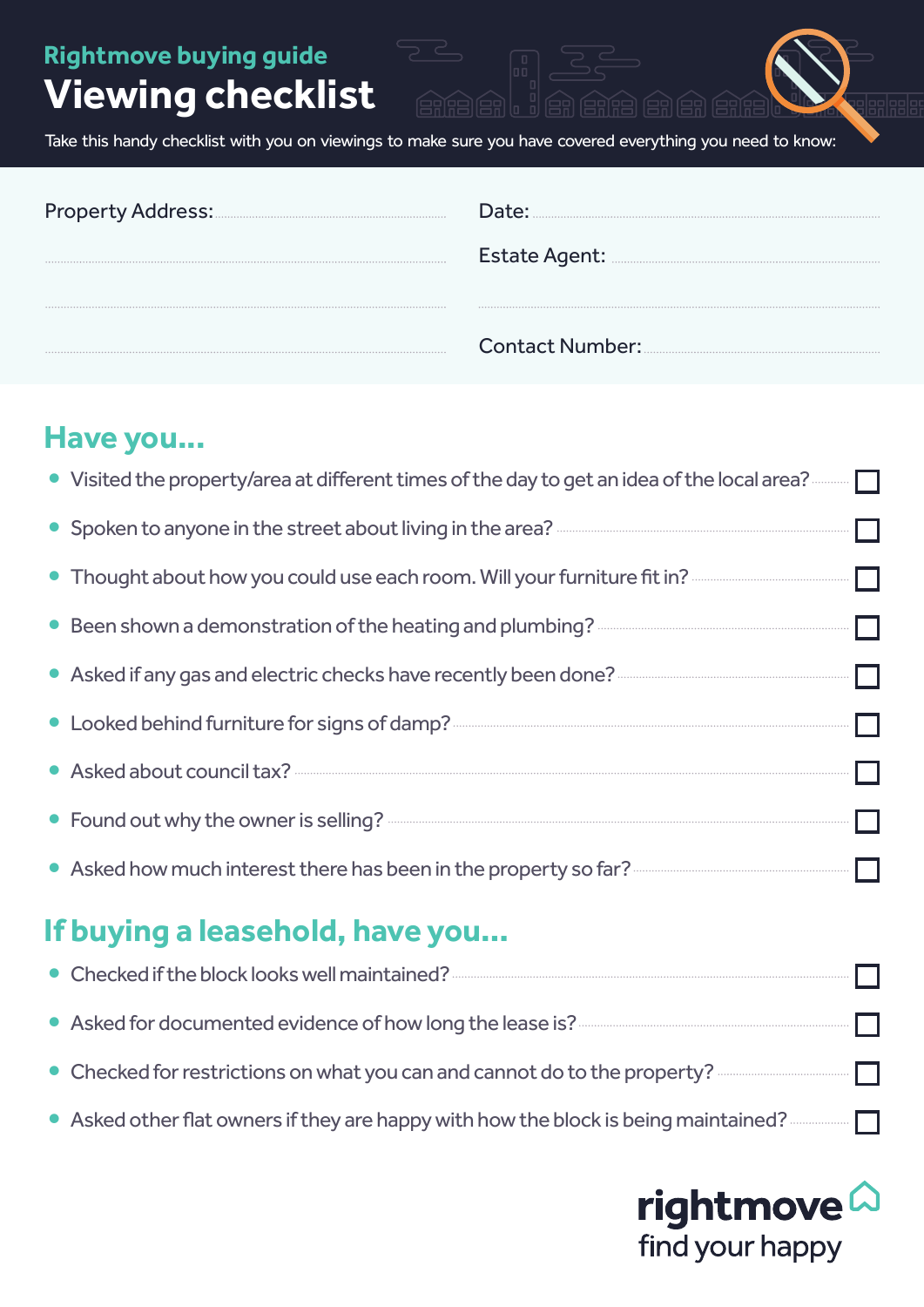**Rightmove buying guide**

# **Viewing checklist**

Take this handy checklist with you on viewings to make sure you have covered everything you need to know:

ena el Ja ena a en ene

88888

| Date:                                        |
|----------------------------------------------|
|                                              |
|                                              |
| Contact Number: <u>[1994] Contact Number</u> |

### **Have you...**

| • Visited the property/area at different times of the day to get an idea of the local area? $\Box$                                     |
|----------------------------------------------------------------------------------------------------------------------------------------|
|                                                                                                                                        |
|                                                                                                                                        |
|                                                                                                                                        |
|                                                                                                                                        |
|                                                                                                                                        |
|                                                                                                                                        |
|                                                                                                                                        |
| • Asked how much interest there has been in the property so far? <b>Asked how much interest there has been</b> in the property so far? |

### **If buying a leasehold, have you…**

| • Asked for documented evidence of how long the lease is? <b>Asked for documented</b> evidence of how long the lease is? <b>Asked for documented</b> |
|------------------------------------------------------------------------------------------------------------------------------------------------------|
| • Checked for restrictions on what you can and cannot do to the property? <b>And Cannot</b> $\Box$                                                   |
|                                                                                                                                                      |